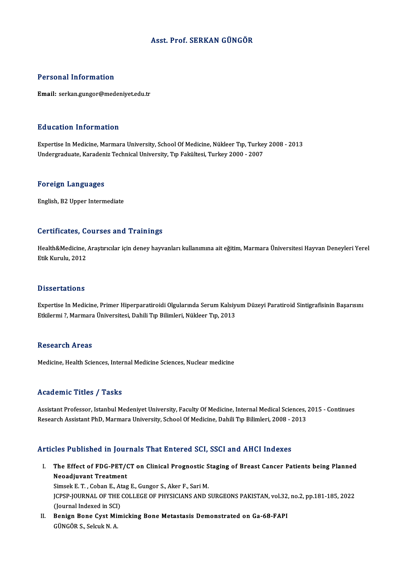# Asst. Prof. SERKAN GÜNGÖR

# Personal Information

Email: serkan.gungor@medeniyet.edu.tr

# Education Information

Education Information<br>Expertise In Medicine, Marmara University, School Of Medicine, Nükleer Tıp, Turkey 2008 - 2013<br>Undergraduate Karadeniz Technical University, Tıp Fakültesi, Turkey 2000 - 2007 Luususion IIII of Inderon<br>Expertise In Medicine, Marmara University, School Of Medicine, Nükleer Tıp, Turkey<br>Undergraduate, Karadeniz Technical University, Tıp Fakültesi, Turkey 2000 - 2007 Undergraduate, Karadeniz Technical University, Tıp Fakültesi, Turkey 2000 - 2007<br>Foreign Languages

English,B2Upper Intermediate

## Certificates, Courses and Trainings

Certificates, Courses and Trainings<br>Health&Medicine, Araştırıcılar için deney hayvanları kullanımına ait eğitim, Marmara Üniversitesi Hayvan Deneyleri Yerel<br>Ftik Kumılı: 2012 eter erreaces)<br>Health&Medicine,<br>Etik Kurulu, 2012 Etik Kurulu, 2012<br>Dissertations

Dissertations<br>Expertise In Medicine, Primer Hiperparatiroidi Olgularında Serum Kalsiyum Düzeyi Paratiroid Sintigrafisinin Başarısını<br>Etkilormi 2 Marmara Üniversitesi, Dabili Tın Bilimleri, Nükleer Tın 2012 Basser tatroms<br>Expertise In Medicine, Primer Hiperparatiroidi Olgularında Serum Kalsiy<br>Etkilermi ?, Marmara Üniversitesi, Dahili Tıp Bilimleri, Nükleer Tıp, 2013 Etkilermi ?, Marmara Üniversitesi, Dahili Tıp Bilimleri, Nükleer Tıp, 2013<br>Research Areas

Medicine, Health Sciences, Internal Medicine Sciences, Nuclear medicine

# Academic Titles / Tasks

Academic Titles / Tasks<br>Assistant Professor, Istanbul Medeniyet University, Faculty Of Medicine, Internal Medical Sciences, 2015 - Continues<br>Research Assistant PhD, Mermara University, School Of Medicine, Dabili Tın Biliml rseau ennig 1720ery 1920a.<br>Assistant Professor, Istanbul Medeniyet University, Faculty Of Medicine, Internal Medical Sciences,<br>Research Assistant PhD, Marmara University, School Of Medicine, Dahili Tıp Bilimleri, 2008 - 20 Research Assistant PhD, Marmara University, School Of Medicine, Dahili Tıp Bilimleri, 2008 - 2013<br>Articles Published in Journals That Entered SCI, SSCI and AHCI Indexes

- rticles Published in Journals That Entered SCI, SSCI and AHCI Indexes<br>I. The Effect of FDG-PET/CT on Clinical Prognostic Staging of Breast Cancer Patients being Planned<br>Neoediuvent Treatment Neo Published III journal<br>The Effect of FDG-PET/<br>Neoadjuvant Treatment<br>Simeek E.T. Coban E. Atas The Effect of FDG-PET/CT on Clinical Prognostic S<br>Neoadjuvant Treatment<br>Simsek E. T. , Coban E., Atag E., Gungor S., Aker F., Sari M.<br>JCRSP JOURNAL OF THE COLLECE OF PHYSICIANS AND 9 Neoadjuvant Treatment<br>Simsek E. T. , Coban E., Atag E., Gungor S., Aker F., Sari M.<br>JCPSP-JOURNAL OF THE COLLEGE OF PHYSICIANS AND SURGEONS PAKISTAN, vol.32, no.2, pp.181-185, 2022<br>(Journal Indexed in SCI) Simsek E. T., Coban E., Atag E., Gungor S., Aker F., Sari M. I . JCPSP-JOURNAL OF THE COLLEGE OF PHYSICIANS AND SURGEONS PAKISTAN, vol.32,<br>(Journal Indexed in SCI)<br>II. Benign Bone Cyst Mimicking Bone Metastasis Demonstrated on Ga-68-FAPI
- (Journal Indexed in SCI<br><mark>Benign Bone Cyst Mi</mark><br>GÜNGÖR S., Selcuk N. A.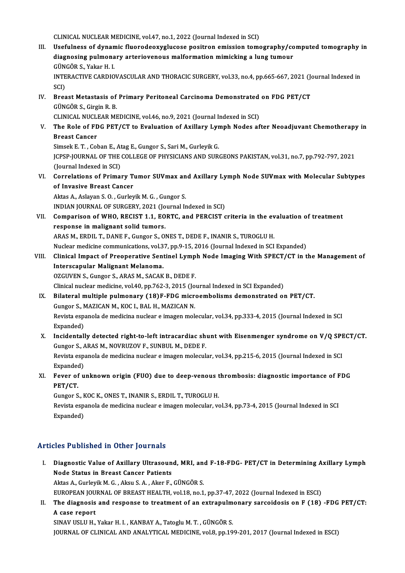CLINICAL NUCLEAR MEDICINE, vol.47, no.1, 2022 (Journal Indexed in SCI)

- CLINICAL NUCLEAR MEDICINE, vol.47, no.1, 2022 (Journal Indexed in SCI)<br>III. Usefulness of dynamic fluorodeoxyglucose positron emission tomography/computed tomography in<br>diagnosing pulmanawy artarioyanaws malformation mimia CLINICAL NUCLEAR MEDICINE, vol.47, no.1, 2022 (Journal Indexed in SCI)<br>Usefulness of dynamic fluorodeoxyglucose positron emission tomography/co<br>diagnosing pulmonary arteriovenous malformation mimicking a lung tumour<br>C<sup>inco</sup> Usefulness of dynan<br>diagnosing pulmona<br>GÜNGÖR S., Yakar H. I.<br>INTERACTIVE CARDIO diagnosing pulmonary arteriovenous malformation mimicking a lung tumour<br>GÜNGÖR S., Yakar H. I.<br>INTERACTIVE CARDIOVASCULAR AND THORACIC SURGERY, vol.33, no.4, pp.665-667, 2021 (Journal Indexed in<br>SCD GÜN<br>INTE<br>SCI)<br>Bros
- INTERACTIVE CARDIOVASCULAR AND THORACIC SURGERY, vol.33, no.4, pp.665-667, 2021 (Journal Carcinoma Demonstrated on FDG PET/CT<br>IV. Breast Metastasis of Primary Peritoneal Carcinoma Demonstrated on FDG PET/CT SCI)<br>Breast Metastasis of<br>GÜNGÖR S., Girgin R. B.<br>CLINICAL NUCLEAP ME Breast Metastasis of Primary Peritoneal Carcinoma Demonstrated<br>GÜNGÖR S., Girgin R. B.<br>CLINICAL NUCLEAR MEDICINE, vol.46, no.9, 2021 (Journal Indexed in SCI)<br>The Bole of EDC BET/CT to Evoluction of Avillary Lymph Nodes of

GÜNGÖR S., Girgin R. B.<br>CLINICAL NUCLEAR MEDICINE, vol.46, no.9, 2021 (Journal Indexed in SCI)<br>V. The Role of FDG PET/CT to Evaluation of Axillary Lymph Nodes after Neoadjuvant Chemotherapy in<br>Preast Cancer CLINICAL NUCLE<br>The Role of FD<br>Breast Cancer<br>Simeek E.T. Col The Role of FDG PET/CT to Evaluation of Axillary Lyr<br>Breast Cancer<br>Simsek E. T. , Coban E., Atag E., Gungor S., Sari M., Gurleyik G.<br>JCRSP JOUPMAL OF THE COLLECE OF PHYSICIANS AND SUP.

Breast Cancer<br>Simsek E. T. , Coban E., Atag E., Gungor S., Sari M., Gurleyik G.<br>JCPSP-JOURNAL OF THE COLLEGE OF PHYSICIANS AND SURGEONS PAKISTAN, vol.31, no.7, pp.792-797, 2021<br>(Journal Indexed in SCI) Simsek E. T., Coban E., Atag E., Gungor S., Sari M., Gurleyik G. JCPSP-JOURNAL OF THE COLLEGE OF PHYSICIANS AND SURGEONS PAKISTAN, vol.31, no.7, pp.792-797, 2021<br>(Journal Indexed in SCI)<br>VI. Correlations of Primary Tumor SUVmax and Axillary Lymph Node SUVmax with Molecular Subtypes<br>of I

(Journal Indexed in SCI)<br>Correlations of Primary T<br>of Invasive Breast Cancer<br>Altas A. Aslavan S.O. Curlay Correlations of Primary Tumor SUVmax an<br>of Invasive Breast Cancer<br>Aktas A., Aslayan S. O. , Gurleyik M. G. , Gungor S.<br>INDIAN JOUPMAL OF SUPCERY 2021 (Journal Is

of Invasive Breast Cancer<br>Aktas A., Aslayan S. O. , Gurleyik M. G. , Gungor S.<br>INDIAN JOURNAL OF SURGERY, 2021 (Journal Indexed in SCI)

Aktas A., Aslayan S. O. , Gurleyik M. G. , Gungor S.<br>INDIAN JOURNAL OF SURGERY, 2021 (Journal Indexed in SCI)<br>VII. Comparison of WHO, RECIST 1.1, EORTC, and PERCIST criteria in the evaluation of treatment<br>neapones in malig response in malignant solid tumors.<br>ARAS M., ERDIL T., DANE F., Gungor S., ONES T., DEDE F., INANIR S., TUROGLU H. Comparison of WHO, RECIST 1.1, EORTC, and PERCIST criteria in the ev<br>response in malignant solid tumors.<br>ARAS M., ERDIL T., DANE F., Gungor S., ONES T., DEDE F., INANIR S., TUROGLU H.<br>Nuclear medicine communications. wel 2

Nuclear medicine communications, vol.37, pp.9-15, 2016 (Journal Indexed in SCI Expanded)

ARAS M., ERDIL T., DANE F., Gungor S., ONES T., DEDE F., INANIR S., TUROGLU H.<br>Nuclear medicine communications, vol.37, pp.9-15, 2016 (Journal Indexed in SCI Expanded)<br>VIII. Clinical Impact of Preoperative Sentinel Lymph N Nuclear medicine communications, vol.3<br>Clinical Impact of Preoperative Sent<br>Interscapular Malignant Melanoma.<br>OZCUVEN S. Cunger S. ABAS M. SACAK Clinical Impact of Preoperative Sentinel Lymp<br>Interscapular Malignant Melanoma.<br>OZGUVEN S., Gungor S., ARAS M., SACAK B., DEDE F.<br>Clinical pucker medicine val 40, pp.762-2-2015 (Je) Interscapular Malignant Melanoma.<br>OZGUVEN S., Gungor S., ARAS M., SACAK B., DEDE F.<br>Clinical nuclear medicine, vol.40, pp.762-3, 2015 (Journal Indexed in SCI Expanded)

- OZGUVEN S., Gungor S., ARAS M., SACAK B., DEDE F.<br>Clinical nuclear medicine, vol.40, pp.762-3, 2015 (Journal Indexed in SCI Expanded)<br>IX. Bilateral multiple pulmonary (18)F-FDG microembolisms demonstrated on PET/CT.<br>Cunger Clinical nuclear medicine, vol.40, pp.762-3, 2015 (Jo<br>Bilateral multiple pulmonary (18)F-FDG microsomers, MAZICAN M., KOC I., BAL H., MAZICAN N. Bilateral multiple pulmonary (18)F-FDG microembolisms demonstrated on PET/CT.<br>Gungor S., MAZICAN M., KOC I., BAL H., MAZICAN N.<br>Revista espanola de medicina nuclear e imagen molecular, vol.34, pp.333-4, 2015 (Journal Index Gungor S., N<br>Revista espa<br>Expanded)<br>Ingidentell
- Expanded)<br>X. Incidentally detected right-to-left intracardiac shunt with Eisenmenger syndrome on V/Q SPECT/CT. Expanded)<br>Incidentally detected right-to-left intracardiac sh<br>Gungor S., ARAS M., NOVRUZOV F., SUNBUL M., DEDE F.<br>Reviste espanels de medisine auslear e imesen melecula Incidentally detected right-to-left intracardiac shunt with Eisenmenger syndrome on V/Q SPI<br>Gungor S., ARAS M., NOVRUZOV F., SUNBUL M., DEDE F.<br>Revista espanola de medicina nuclear e imagen molecular, vol.34, pp.215-6, 201 Gungor S., A<br>Revista espa<br>Expanded)<br>Esuse of u Revista espanola de medicina nuclear e imagen molecular, vol.34, pp.215-6, 2015 (Journal Indexed in SCI<br>Expanded)<br>XI. Fever of unknown origin (FUO) due to deep-venous thrombosis: diagnostic importance of FDG<br>PET/CT
- Expanded<br>Fever of<br>PET/CT.<br>Cursor S Fever of unknown origin (FUO) due to deep-venous t<br>PET/CT.<br>Gungor S., KOC K., ONES T., INANIR S., ERDIL T., TUROGLU H.<br>Povista espanela de medicina nuclear e imagen melecular, ve

PET/CT.<br>Gungor S., KOC K., ONES T., INANIR S., ERDIL T., TUROGLU H.<br>Revista espanola de medicina nuclear e imagen molecular, vol.34, pp.73-4, 2015 (Journal Indexed in SCI<br>Evnanded) Gungor S., F<br>Revista esp:<br>Expanded)

# Articles Published in Other Journals

rticles Published in Other Journals<br>I. Diagnostic Value of Axillary Ultrasound, MRI, and F-18-FDG- PET/CT in Determining Axillary Lymph<br>Node Status in Preest Cancer Patients Node Status in Bendal Journalis<br>Diagnostic Value of Axillary Ultrasoun<br>Node Status in Breast Cancer Patients Diagnostic Value of Axillary Ultrasound, MRI, an<br>Node Status in Breast Cancer Patients<br>Aktas A., Gurleyik M. G. , Aksu S. A. , Aker F., GÜNGÖR S.<br>FUROPEAN JOURNAL OF PREAST HEALTH .vol.19, no.1 Node Status in Breast Cancer Patients<br>Aktas A., Gurleyik M. G. , Aksu S. A. , Aker F., GÜNGÖR S.<br>EUROPEAN JOURNAL OF BREAST HEALTH, vol.18, no.1, pp.37-47, 2022 (Journal Indexed in ESCI)<br>The discreasis and reapence to trea

Aktas A., Gurleyik M. G. , Aksu S. A. , Aker F., GÜNGÖR S.<br>EUROPEAN JOURNAL OF BREAST HEALTH, vol.18, no.1, pp.37-47, 2022 (Journal Indexed in ESCI)<br>II. The diagnosis and response to treatment of an extrapulmonary sarcoido EUROPEAN JOU<br>The diagnosis<br>A case report<br>SIMAV USLU H

SINAV USLU H., Yakar H. I., KANBAY A., Tatoglu M. T., GÜNGÖR S. JOURNAL OF CLINICAL AND ANALYTICAL MEDICINE, vol.8, pp.199-201, 2017 (Journal Indexed in ESCI)